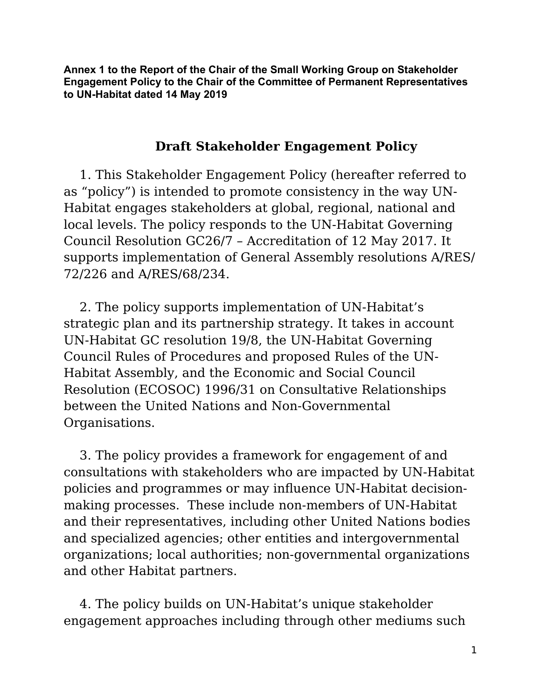**Annex 1 to the Report of the Chair of the Small Working Group on Stakeholder Engagement Policy to the Chair of the Committee of Permanent Representatives to UN-Habitat dated 14 May 2019**

#### **Draft Stakeholder Engagement Policy**

1. This Stakeholder Engagement Policy (hereafter referred to as "policy") is intended to promote consistency in the way UN-Habitat engages stakeholders at global, regional, national and local levels. The policy responds to the UN-Habitat Governing Council Resolution GC26/7 – Accreditation of 12 May 2017. It supports implementation of General Assembly resolutions A/RES/ 72/226 and A/RES/68/234.

2. The policy supports implementation of UN-Habitat's strategic plan and its partnership strategy. It takes in account UN-Habitat GC resolution 19/8, the UN-Habitat Governing Council Rules of Procedures and proposed Rules of the UN-Habitat Assembly, and the Economic and Social Council Resolution (ECOSOC) 1996/31 on Consultative Relationships between the United Nations and Non-Governmental Organisations.

3. The policy provides a framework for engagement of and consultations with stakeholders who are impacted by UN-Habitat policies and programmes or may influence UN-Habitat decisionmaking processes. These include non-members of UN-Habitat and their representatives, including other United Nations bodies and specialized agencies; other entities and intergovernmental organizations; local authorities; non-governmental organizations and other Habitat partners.

4. The policy builds on UN-Habitat's unique stakeholder engagement approaches including through other mediums such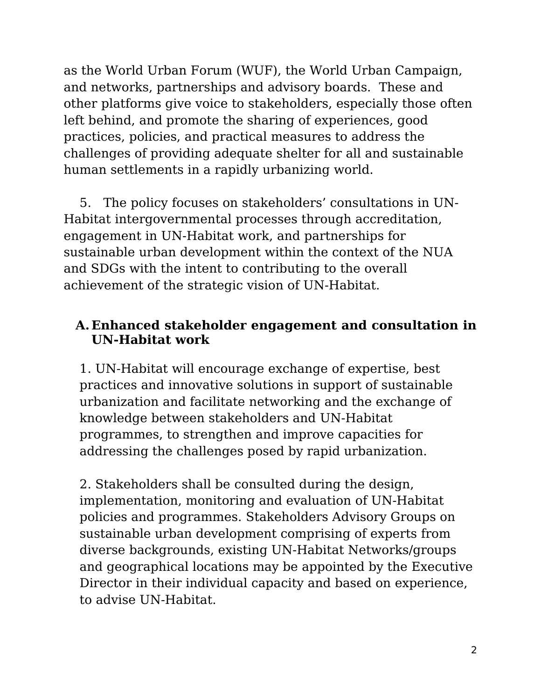as the World Urban Forum (WUF), the World Urban Campaign, and networks, partnerships and advisory boards. These and other platforms give voice to stakeholders, especially those often left behind, and promote the sharing of experiences, good practices, policies, and practical measures to address the challenges of providing adequate shelter for all and sustainable human settlements in a rapidly urbanizing world.

5. The policy focuses on stakeholders' consultations in UN-Habitat intergovernmental processes through accreditation, engagement in UN-Habitat work, and partnerships for sustainable urban development within the context of the NUA and SDGs with the intent to contributing to the overall achievement of the strategic vision of UN-Habitat.

#### **A. Enhanced stakeholder engagement and consultation in UN-Habitat work**

1. UN-Habitat will encourage exchange of expertise, best practices and innovative solutions in support of sustainable urbanization and facilitate networking and the exchange of knowledge between stakeholders and UN-Habitat programmes, to strengthen and improve capacities for addressing the challenges posed by rapid urbanization.

2. Stakeholders shall be consulted during the design, implementation, monitoring and evaluation of UN-Habitat policies and programmes. Stakeholders Advisory Groups on sustainable urban development comprising of experts from diverse backgrounds, existing UN-Habitat Networks/groups and geographical locations may be appointed by the Executive Director in their individual capacity and based on experience, to advise UN-Habitat.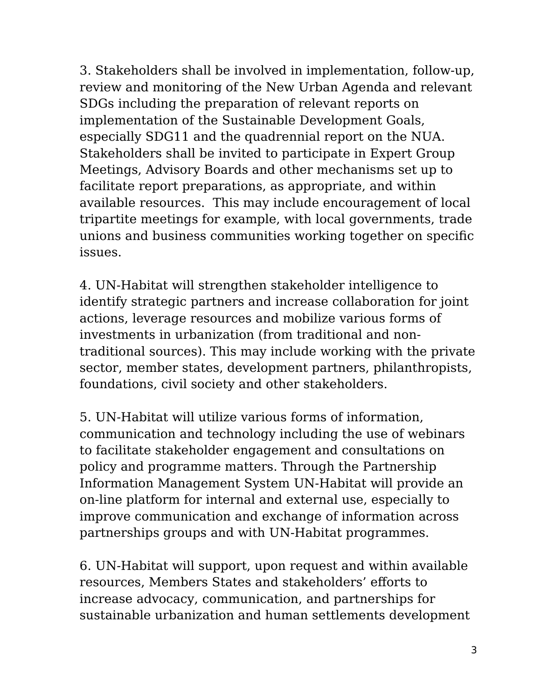3. Stakeholders shall be involved in implementation, follow-up, review and monitoring of the New Urban Agenda and relevant SDGs including the preparation of relevant reports on implementation of the Sustainable Development Goals, especially SDG11 and the quadrennial report on the NUA. Stakeholders shall be invited to participate in Expert Group Meetings, Advisory Boards and other mechanisms set up to facilitate report preparations, as appropriate, and within available resources. This may include encouragement of local tripartite meetings for example, with local governments, trade unions and business communities working together on specific issues.

4. UN-Habitat will strengthen stakeholder intelligence to identify strategic partners and increase collaboration for joint actions, leverage resources and mobilize various forms of investments in urbanization (from traditional and nontraditional sources). This may include working with the private sector, member states, development partners, philanthropists, foundations, civil society and other stakeholders.

5. UN-Habitat will utilize various forms of information, communication and technology including the use of webinars to facilitate stakeholder engagement and consultations on policy and programme matters. Through the Partnership Information Management System UN-Habitat will provide an on-line platform for internal and external use, especially to improve communication and exchange of information across partnerships groups and with UN-Habitat programmes.

6. UN-Habitat will support, upon request and within available resources, Members States and stakeholders' efforts to increase advocacy, communication, and partnerships for sustainable urbanization and human settlements development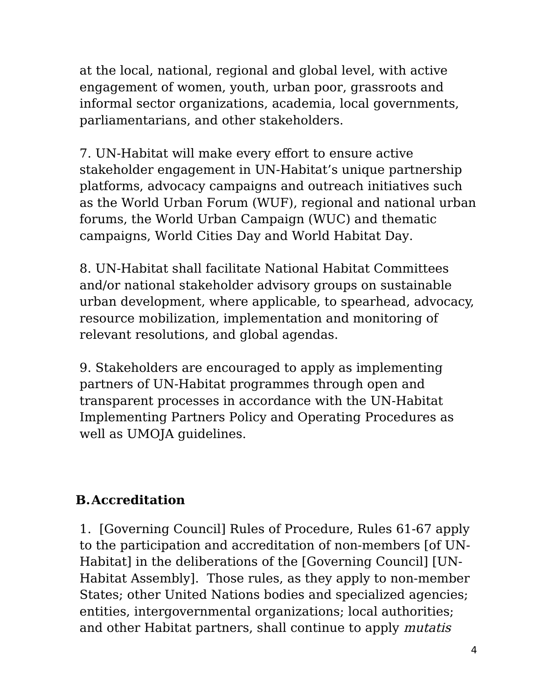at the local, national, regional and global level, with active engagement of women, youth, urban poor, grassroots and informal sector organizations, academia, local governments, parliamentarians, and other stakeholders.

7. UN-Habitat will make every effort to ensure active stakeholder engagement in UN-Habitat's unique partnership platforms, advocacy campaigns and outreach initiatives such as the World Urban Forum (WUF), regional and national urban forums, the World Urban Campaign (WUC) and thematic campaigns, World Cities Day and World Habitat Day.

8. UN-Habitat shall facilitate National Habitat Committees and/or national stakeholder advisory groups on sustainable urban development, where applicable, to spearhead, advocacy, resource mobilization, implementation and monitoring of relevant resolutions, and global agendas.

9. Stakeholders are encouraged to apply as implementing partners of UN-Habitat programmes through open and transparent processes in accordance with the UN-Habitat Implementing Partners Policy and Operating Procedures as well as UMOJA guidelines.

# **B.Accreditation**

1. [Governing Council] Rules of Procedure, Rules 61-67 apply to the participation and accreditation of non-members [of UN-Habitat] in the deliberations of the [Governing Council] [UN-Habitat Assembly]. Those rules, as they apply to non-member States; other United Nations bodies and specialized agencies; entities, intergovernmental organizations; local authorities; and other Habitat partners, shall continue to apply mutatis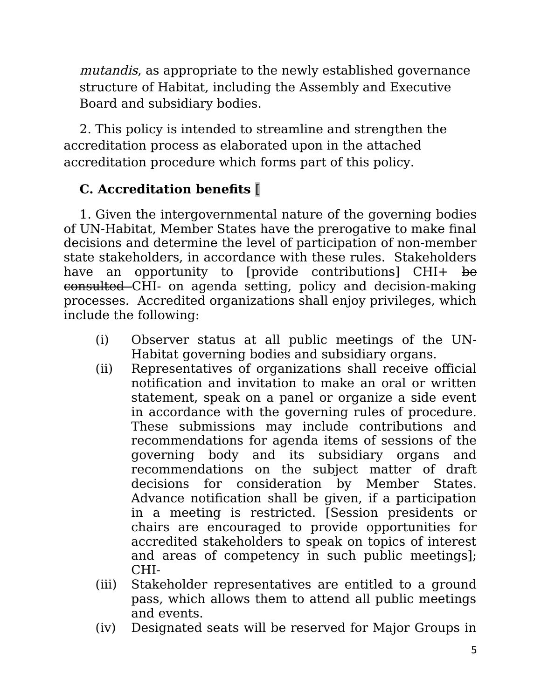mutandis, as appropriate to the newly established governance structure of Habitat, including the Assembly and Executive Board and subsidiary bodies.

2. This policy is intended to streamline and strengthen the accreditation process as elaborated upon in the attached accreditation procedure which forms part of this policy.

# **C. Accreditation benefits** [

1. Given the intergovernmental nature of the governing bodies of UN-Habitat, Member States have the prerogative to make final decisions and determine the level of participation of non-member state stakeholders, in accordance with these rules. Stakeholders have an opportunity to [provide contributions] CHI+ be consulted CHI- on agenda setting, policy and decision-making processes. Accredited organizations shall enjoy privileges, which include the following:

- (i) Observer status at all public meetings of the UN-Habitat governing bodies and subsidiary organs.
- (ii) Representatives of organizations shall receive official notification and invitation to make an oral or written statement, speak on a panel or organize a side event in accordance with the governing rules of procedure. These submissions may include contributions and recommendations for agenda items of sessions of the governing body and its subsidiary organs and recommendations on the subject matter of draft decisions for consideration by Member States. Advance notification shall be given, if a participation in a meeting is restricted. [Session presidents or chairs are encouraged to provide opportunities for accredited stakeholders to speak on topics of interest and areas of competency in such public meetings]; CHI-
- (iii) Stakeholder representatives are entitled to a ground pass, which allows them to attend all public meetings and events.
- (iv) Designated seats will be reserved for Major Groups in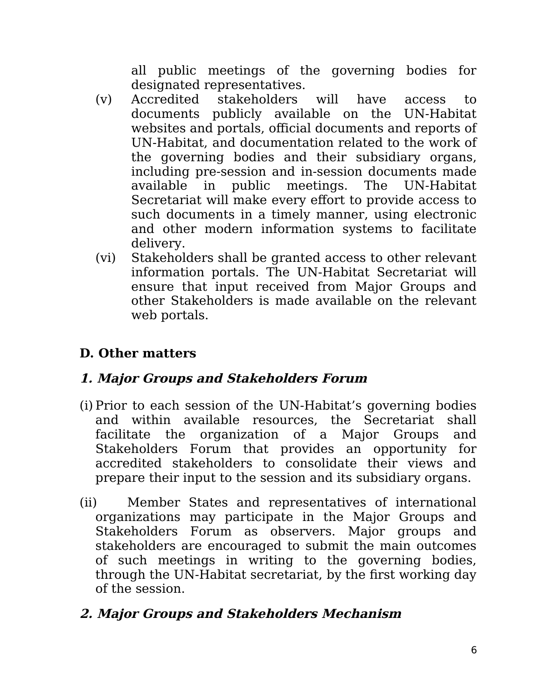all public meetings of the governing bodies for designated representatives.

- (v) Accredited stakeholders will have access to documents publicly available on the UN-Habitat websites and portals, official documents and reports of UN-Habitat, and documentation related to the work of the governing bodies and their subsidiary organs, including pre-session and in-session documents made available in public meetings. The UN-Habitat Secretariat will make every effort to provide access to such documents in a timely manner, using electronic and other modern information systems to facilitate delivery.
- (vi) Stakeholders shall be granted access to other relevant information portals. The UN-Habitat Secretariat will ensure that input received from Major Groups and other Stakeholders is made available on the relevant web portals.

# **D. Other matters**

# **1. Major Groups and Stakeholders Forum**

- (i) Prior to each session of the UN-Habitat's governing bodies and within available resources, the Secretariat shall facilitate the organization of a Major Groups and Stakeholders Forum that provides an opportunity for accredited stakeholders to consolidate their views and prepare their input to the session and its subsidiary organs.
- (ii) Member States and representatives of international organizations may participate in the Major Groups and Stakeholders Forum as observers. Major groups and stakeholders are encouraged to submit the main outcomes of such meetings in writing to the governing bodies, through the UN-Habitat secretariat, by the first working day of the session.

# **2. Major Groups and Stakeholders Mechanism**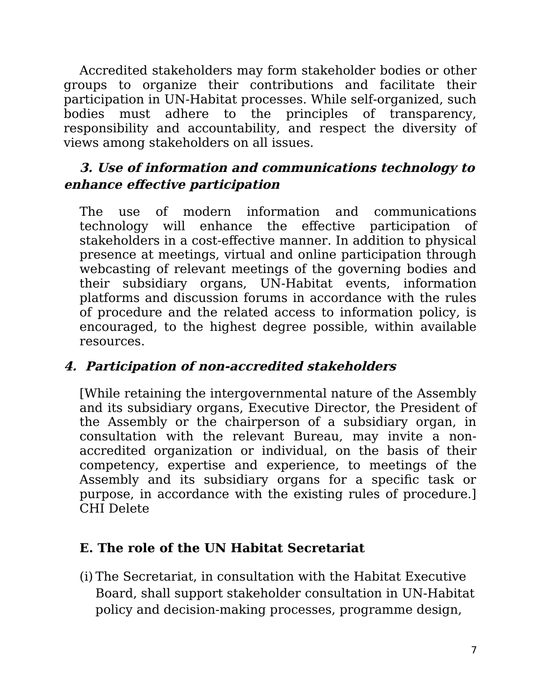Accredited stakeholders may form stakeholder bodies or other groups to organize their contributions and facilitate their participation in UN-Habitat processes. While self-organized, such bodies must adhere to the principles of transparency, responsibility and accountability, and respect the diversity of views among stakeholders on all issues.

### **3. Use of information and communications technology to enhance effective participation**

The use of modern information and communications technology will enhance the effective participation of stakeholders in a cost-effective manner. In addition to physical presence at meetings, virtual and online participation through webcasting of relevant meetings of the governing bodies and their subsidiary organs, UN-Habitat events, information platforms and discussion forums in accordance with the rules of procedure and the related access to information policy, is encouraged, to the highest degree possible, within available resources.

# **4. Participation of non-accredited stakeholders**

[While retaining the intergovernmental nature of the Assembly and its subsidiary organs, Executive Director, the President of the Assembly or the chairperson of a subsidiary organ, in consultation with the relevant Bureau, may invite a nonaccredited organization or individual, on the basis of their competency, expertise and experience, to meetings of the Assembly and its subsidiary organs for a specific task or purpose, in accordance with the existing rules of procedure.] CHI Delete

# **E. The role of the UN Habitat Secretariat**

(i) The Secretariat, in consultation with the Habitat Executive Board, shall support stakeholder consultation in UN-Habitat policy and decision-making processes, programme design,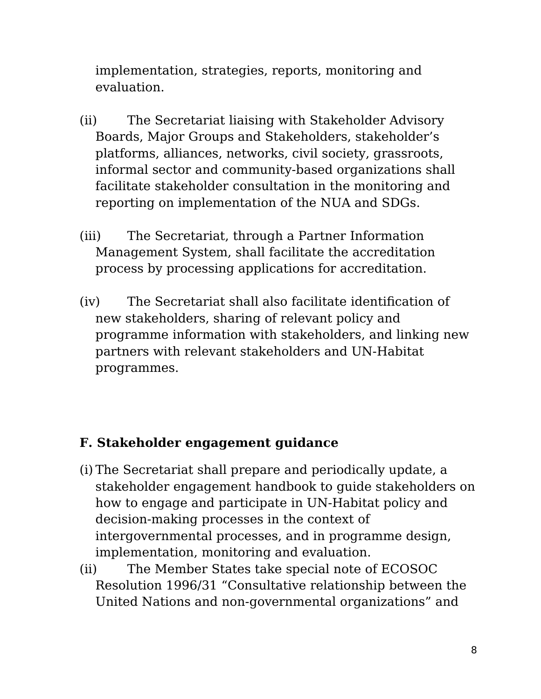implementation, strategies, reports, monitoring and evaluation.

- (ii) The Secretariat liaising with Stakeholder Advisory Boards, Major Groups and Stakeholders, stakeholder's platforms, alliances, networks, civil society, grassroots, informal sector and community-based organizations shall facilitate stakeholder consultation in the monitoring and reporting on implementation of the NUA and SDGs.
- (iii) The Secretariat, through a Partner Information Management System, shall facilitate the accreditation process by processing applications for accreditation.
- (iv) The Secretariat shall also facilitate identification of new stakeholders, sharing of relevant policy and programme information with stakeholders, and linking new partners with relevant stakeholders and UN-Habitat programmes.

# **F. Stakeholder engagement guidance**

- (i) The Secretariat shall prepare and periodically update, a stakeholder engagement handbook to guide stakeholders on how to engage and participate in UN-Habitat policy and decision-making processes in the context of intergovernmental processes, and in programme design, implementation, monitoring and evaluation.
- (ii) The Member States take special note of ECOSOC Resolution 1996/31 "Consultative relationship between the United Nations and non-governmental organizations" and